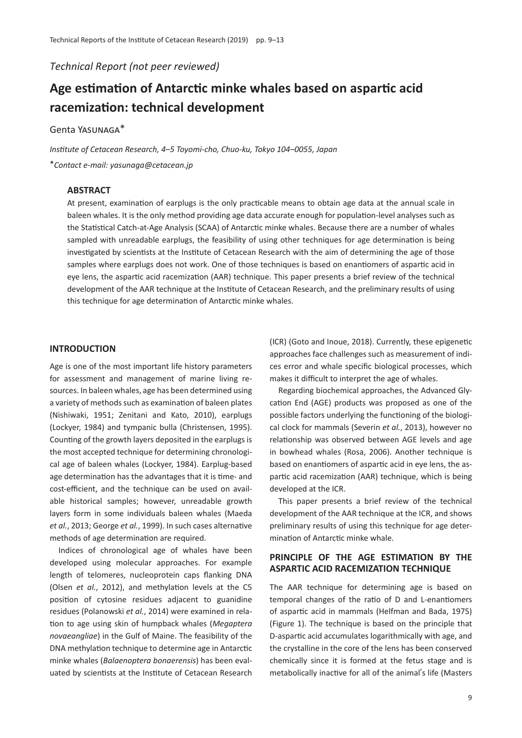*Technical Report (not peer reviewed)*

# **Age estimation of Antarctic minke whales based on aspartic acid racemization: technical development**

# Genta Yasunaga\*

*Institute of Cetacean Research, 4*–*5 Toyomi-cho, Chuo-ku, Tokyo 104*–*0055, Japan* \**Contact e-mail: yasunaga@cetacean.jp*

## **ABSTRACT**

At present, examination of earplugs is the only practicable means to obtain age data at the annual scale in baleen whales. It is the only method providing age data accurate enough for population-level analyses such as the Statistical Catch-at-Age Analysis (SCAA) of Antarctic minke whales. Because there are a number of whales sampled with unreadable earplugs, the feasibility of using other techniques for age determination is being investigated by scientists at the Institute of Cetacean Research with the aim of determining the age of those samples where earplugs does not work. One of those techniques is based on enantiomers of aspartic acid in eye lens, the aspartic acid racemization (AAR) technique. This paper presents a brief review of the technical development of the AAR technique at the Institute of Cetacean Research, and the preliminary results of using this technique for age determination of Antarctic minke whales.

## **INTRODUCTION**

Age is one of the most important life history parameters for assessment and management of marine living resources. In baleen whales, age has been determined using a variety of methods such as examination of baleen plates (Nishiwaki, 1951; Zenitani and Kato, 2010), earplugs (Lockyer, 1984) and tympanic bulla (Christensen, 1995). Counting of the growth layers deposited in the earplugs is the most accepted technique for determining chronological age of baleen whales (Lockyer, 1984). Earplug-based age determination has the advantages that it is time- and cost-efficient, and the technique can be used on available historical samples; however, unreadable growth layers form in some individuals baleen whales (Maeda *et al.*, 2013; George *et al.*, 1999). In such cases alternative methods of age determination are required.

Indices of chronological age of whales have been developed using molecular approaches. For example length of telomeres, nucleoprotein caps flanking DNA (Olsen *et al.*, 2012), and methylation levels at the C5 position of cytosine residues adjacent to guanidine residues (Polanowski *et al.*, 2014) were examined in relation to age using skin of humpback whales (*Megaptera novaeangliae*) in the Gulf of Maine. The feasibility of the DNA methylation technique to determine age in Antarctic minke whales (*Balaenoptera bonaerensis*) has been evaluated by scientists at the Institute of Cetacean Research (ICR) (Goto and Inoue, 2018). Currently, these epigenetic approaches face challenges such as measurement of indices error and whale specific biological processes, which makes it difficult to interpret the age of whales.

Regarding biochemical approaches, the Advanced Glycation End (AGE) products was proposed as one of the possible factors underlying the functioning of the biological clock for mammals (Severin *et al.*, 2013), however no relationship was observed between AGE levels and age in bowhead whales (Rosa, 2006). Another technique is based on enantiomers of aspartic acid in eye lens, the aspartic acid racemization (AAR) technique, which is being developed at the ICR.

This paper presents a brief review of the technical development of the AAR technique at the ICR, and shows preliminary results of using this technique for age determination of Antarctic minke whale.

# **PRINCIPLE OF THE AGE ESTIMATION BY THE ASPARTIC ACID RACEMIZATION TECHNIQUE**

The AAR technique for determining age is based on temporal changes of the ratio of D and L-enantiomers of aspartic acid in mammals (Helfman and Bada, 1975) (Figure 1). The technique is based on the principle that D-aspartic acid accumulates logarithmically with age, and the crystalline in the core of the lens has been conserved chemically since it is formed at the fetus stage and is metabolically inactive for all of the animal's life (Masters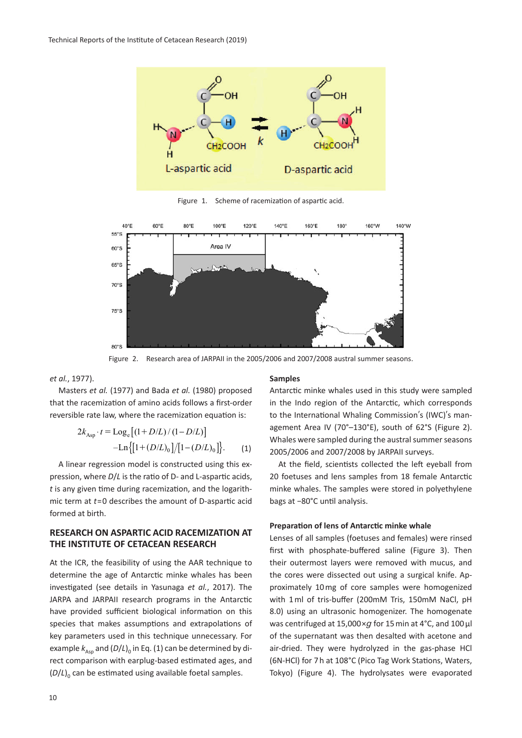

Figure 1. Scheme of racemization of aspartic acid.



Figure 2. Research area of JARPAII in the 2005/2006 and 2007/2008 austral summer seasons.

## *et al.*, 1977).

Masters *et al.* (1977) and Bada *et al.* (1980) proposed that the racemization of amino acids follows a first-order reversible rate law, where the racemization equation is:

$$
2k_{\text{Asp}} \cdot t = \text{Log}_{\text{e}} \left[ (1 + D/L) / (1 - D/L) \right]
$$

$$
-\text{Ln} \left\{ [1 + (D/L)_0] / [1 - (D/L)_0] \right\}. \tag{1}
$$

A linear regression model is constructed using this expression, where *D*/*L* is the ratio of D- and L-aspartic acids, *t* is any given time during racemization, and the logarithmic term at *t*=0 describes the amount of D-aspartic acid formed at birth.

# **RESEARCH ON ASPARTIC ACID RACEMIZATION AT THE INSTITUTE OF CETACEAN RESEARCH**

At the ICR, the feasibility of using the AAR technique to determine the age of Antarctic minke whales has been investigated (see details in Yasunaga *et al.*, 2017). The JARPA and JARPAII research programs in the Antarctic have provided sufficient biological information on this species that makes assumptions and extrapolations of key parameters used in this technique unnecessary. For example  $k_{\text{Ass}}$  and  $(D/L)_{0}$  in Eq. (1) can be determined by direct comparison with earplug-based estimated ages, and  $(D/L)$ <sup>0</sup> can be estimated using available foetal samples.

#### **Samples**

Antarctic minke whales used in this study were sampled in the Indo region of the Antarctic, which corresponds to the International Whaling Commission's (IWC)'s management Area IV (70°–130°E), south of 62°S (Figure 2). Whales were sampled during the austral summer seasons 2005/2006 and 2007/2008 by JARPAII surveys.

At the field, scientists collected the left eyeball from 20 foetuses and lens samples from 18 female Antarctic minke whales. The samples were stored in polyethylene bags at −80°C until analysis.

#### **Preparation of lens of Antarctic minke whale**

Lenses of all samples (foetuses and females) were rinsed first with phosphate-buffered saline (Figure 3). Then their outermost layers were removed with mucus, and the cores were dissected out using a surgical knife. Approximately 10 mg of core samples were homogenized with 1 ml of tris-buffer (200mM Tris, 150mM NaCl, pH 8.0) using an ultrasonic homogenizer. The homogenate was centrifuged at 15,000×*g* for 15 min at 4°C, and 100 µl of the supernatant was then desalted with acetone and air-dried. They were hydrolyzed in the gas-phase HCl (6N-HCl) for 7 h at 108°C (Pico Tag Work Stations, Waters, Tokyo) (Figure 4). The hydrolysates were evaporated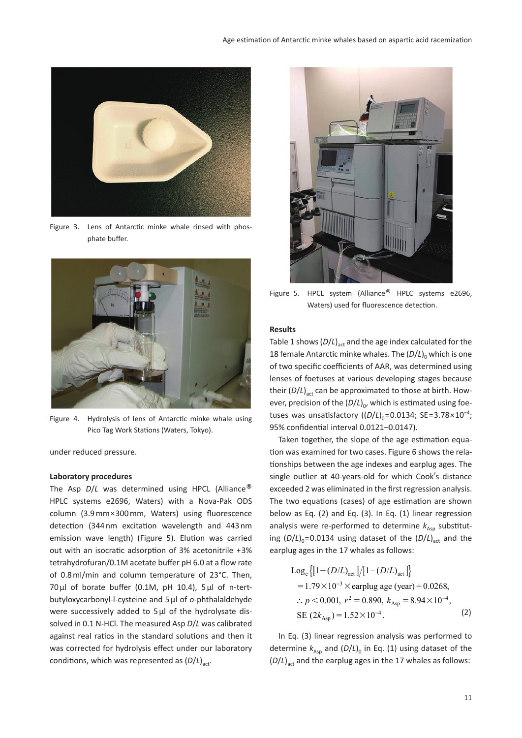

Figure 3. Lens of Antarctic minke whale rinsed with phosphate buffer.



Figure 4. Hydrolysis of lens of Antarctic minke whale using Pico Tag Work Stations (Waters, Tokyo).

under reduced pressure.

#### **Laboratory procedures**

The Asp *D*/*L* was determined using HPCL (Alliance® HPLC systems e2696, Waters) with a Nova-Pak ODS column (3.9 mm×300 mm, Waters) using fluorescence detection (344 nm excitation wavelength and 443 nm emission wave length) (Figure 5). Elution was carried out with an isocratic adsorption of 3% acetonitrile +3% tetrahydrofuran/0.1M acetate buffer pH 6.0 at a flow rate of 0.8 ml/min and column temperature of 23°C. Then, 70 µl of borate buffer (0.1M, pH 10.4), 5 µl of n-tertbutyloxycarbonyl-l-cysteine and 5 µl of *o*-phthalaldehyde were successively added to 5 µl of the hydrolysate dissolved in 0.1 N-HCl. The measured Asp *D*/*L* was calibrated against real ratios in the standard solutions and then it was corrected for hydrolysis effect under our laboratory conditions, which was represented as  $(D/L)_{\text{act}}$ .



Figure 5. HPCL system (Alliance<sup>®</sup> HPLC systems e2696, Waters) used for fluorescence detection.

#### **Results**

Table 1 shows  $(D/L)_{\text{act}}$  and the age index calculated for the 18 female Antarctic minke whales. The  $(D/L)$ <sup>0</sup> which is one of two specific coefficients of AAR, was determined using lenses of foetuses at various developing stages because their  $(D/L)_{\text{act}}$  can be approximated to those at birth. However, precision of the  $(D/L)_{0}$ , which is estimated using foetuses was unsatisfactory  $((D/L)_{0} = 0.0134; \text{ SE} = 3.78 \times 10^{-4})$ ; 95% confidential interval 0.0121–0.0147).

Taken together, the slope of the age estimation equation was examined for two cases. Figure 6 shows the relationships between the age indexes and earplug ages. The single outlier at 40-years-old for which Cook's distance exceeded 2 was eliminated in the first regression analysis. The two equations (cases) of age estimation are shown below as Eq. (2) and Eq. (3). In Eq. (1) linear regression analysis were re-performed to determine  $k_{Asp}$  substituting  $(D/L)_{0}$ =0.0134 using dataset of the  $(D/L)_{\text{act}}$  and the earplug ages in the 17 whales as follows:

Log<sub>e</sub> 
$$
\{ [1 + (D/L)_{\text{act}}] / [1 - (D/L)_{\text{act}}] \}
$$
  
= 1.79×10<sup>-3</sup> × earlylug age (year) + 0.0268,  
:.  $p < 0.001$ ,  $r^2 = 0.890$ ,  $k_{\text{Asp}} = 8.94 \times 10^{-4}$ ,  
SE  $(2k_{\text{Asp}}) = 1.52 \times 10^{-4}$ . (2)

In Eq. (3) linear regression analysis was performed to determine  $k_{Asp}$  and  $(D/L)$ <sub>0</sub> in Eq. (1) using dataset of the  $(D/L)_{\text{act}}$  and the earplug ages in the 17 whales as follows: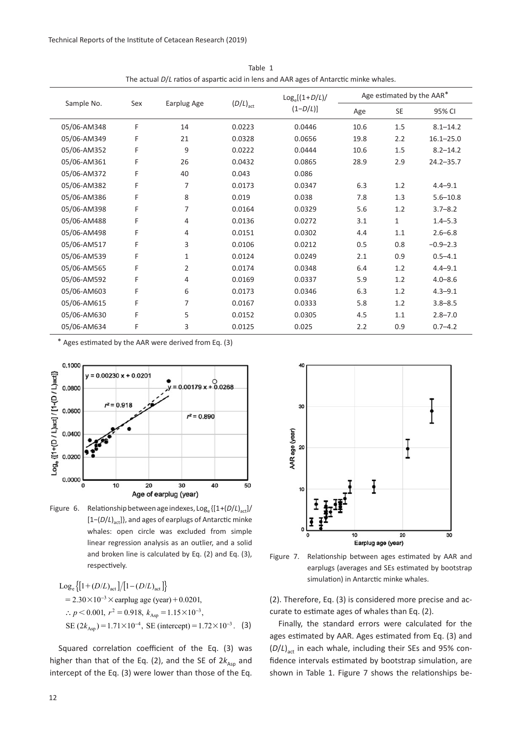| The actual D/L ratios of aspartic acid in ieris and AAN ages of Antarctic minke whales. |     |             |                      |                                |                           |              |               |
|-----------------------------------------------------------------------------------------|-----|-------------|----------------------|--------------------------------|---------------------------|--------------|---------------|
| Sample No.                                                                              | Sex | Earplug Age | $(D/L)_{\text{act}}$ | $Log_e[(1+D/L)]$<br>$(1-D/L)]$ | Age estimated by the AAR* |              |               |
|                                                                                         |     |             |                      |                                | Age                       | SE           | 95% CI        |
| 05/06-AM348                                                                             | F   | 14          | 0.0223               | 0.0446                         | 10.6                      | 1.5          | $8.1 - 14.2$  |
| 05/06-AM349                                                                             | F   | 21          | 0.0328               | 0.0656                         | 19.8                      | 2.2          | $16.1 - 25.0$ |
| 05/06-AM352                                                                             | F   | 9           | 0.0222               | 0.0444                         | 10.6                      | 1.5          | $8.2 - 14.2$  |
| 05/06-AM361                                                                             | F   | 26          | 0.0432               | 0.0865                         | 28.9                      | 2.9          | $24.2 - 35.7$ |
| 05/06-AM372                                                                             | F   | 40          | 0.043                | 0.086                          |                           |              |               |
| 05/06-AM382                                                                             | F   | 7           | 0.0173               | 0.0347                         | 6.3                       | 1.2          | $4.4 - 9.1$   |
| 05/06-AM386                                                                             | F   | 8           | 0.019                | 0.038                          | 7.8                       | 1.3          | $5.6 - 10.8$  |
| 05/06-AM398                                                                             | F   | 7           | 0.0164               | 0.0329                         | 5.6                       | 1.2          | $3.7 - 8.2$   |
| 05/06-AM488                                                                             | F   | 4           | 0.0136               | 0.0272                         | 3.1                       | $\mathbf{1}$ | $1.4 - 5.3$   |
| 05/06-AM498                                                                             | F   | 4           | 0.0151               | 0.0302                         | 4.4                       | $1.1\,$      | $2.6 - 6.8$   |
| 05/06-AM517                                                                             | F   | 3           | 0.0106               | 0.0212                         | 0.5                       | 0.8          | $-0.9 - 2.3$  |
| 05/06-AM539                                                                             | F   | 1           | 0.0124               | 0.0249                         | 2.1                       | 0.9          | $0.5 - 4.1$   |
| 05/06-AM565                                                                             | F   | 2           | 0.0174               | 0.0348                         | 6.4                       | 1.2          | $4.4 - 9.1$   |
| 05/06-AM592                                                                             | F   | 4           | 0.0169               | 0.0337                         | 5.9                       | 1.2          | $4.0 - 8.6$   |
| 05/06-AM603                                                                             | F   | 6           | 0.0173               | 0.0346                         | 6.3                       | 1.2          | $4.3 - 9.1$   |
| 05/06-AM615                                                                             | F   | 7           | 0.0167               | 0.0333                         | 5.8                       | 1.2          | $3.8 - 8.5$   |
| 05/06-AM630                                                                             | F   | 5           | 0.0152               | 0.0305                         | 4.5                       | 1.1          | $2.8 - 7.0$   |
| 05/06-AM634                                                                             | F   | 3           | 0.0125               | 0.025                          | 2.2                       | 0.9          | $0.7 - 4.2$   |

Table 1 The actual *D*/*L* ratios of aspartic acid in lens and AAR ages of Antarctic minke whales.

\* Ages estimated by the AAR were derived from Eq. (3)



Figure 6. Relationship between age indexes, Log<sub>e</sub> { $[1+(D/L)_{\text{act}}]$ / [1−(*D*/*L*)<sub>act</sub>]}, and ages of earplugs of Antarctic minke whales: open circle was excluded from simple linear regression analysis as an outlier, and a solid and broken line is calculated by Eq. (2) and Eq. (3), respectively.

Log<sub>e</sub> {[1+
$$
(D/L)
$$
<sub>act</sub>]/[1− $(D/L)$ <sub>act</sub>]}  
= 2.30×10<sup>-3</sup> × earlyu  
∴  $p < 0.001$ ,  $r^2 = 0.918$ ,  $k_{Asp} = 1.15 × 10^{-3}$ ,  
SE  $(2k_{Asp}) = 1.71 × 10^{-4}$ , SE (intercept) = 1.72×10<sup>-3</sup>. (3)

Squared correlation coefficient of the Eq. (3) was higher than that of the Eq. (2), and the SE of  $2k_{Asp}$  and intercept of the Eq. (3) were lower than those of the Eq.



Figure 7. Relationship between ages estimated by AAR and earplugs (averages and SEs estimated by bootstrap simulation) in Antarctic minke whales.

(2). Therefore, Eq. (3) is considered more precise and accurate to estimate ages of whales than Eq. (2).

Finally, the standard errors were calculated for the ages estimated by AAR. Ages estimated from Eq. (3) and ( $D/L$ )<sub>act</sub> in each whale, including their SEs and 95% confidence intervals estimated by bootstrap simulation, are shown in Table 1. Figure 7 shows the relationships be